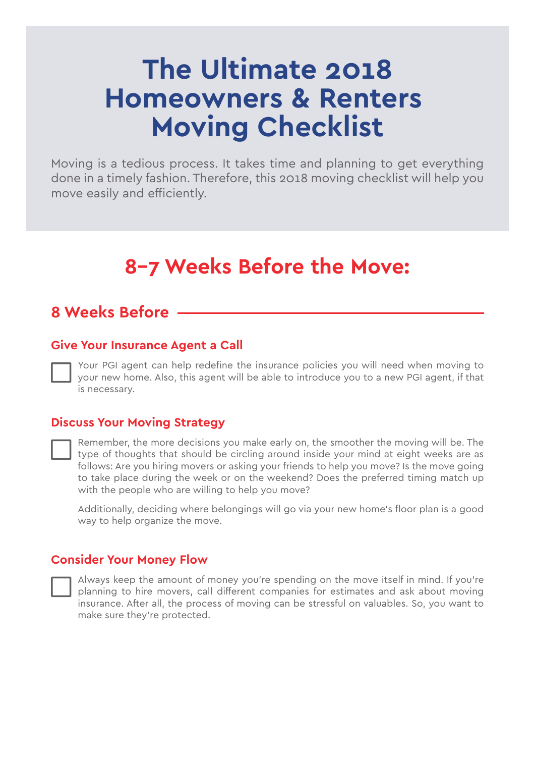# **The Ultimate 2018 Homeowners & Renters Moving Checklist**

Moving is a tedious process. It takes time and planning to get everything done in a timely fashion. Therefore, this 2018 moving checklist will help you move easily and efficiently.

## **8–7 Weeks Before the Move:**

### **8 Weeks Before**

#### **Give Your Insurance Agent a Call**

Your PGI agent can help redefine the insurance policies you will need when moving to your new home. Also, this agent will be able to introduce you to a new PGI agent, if that is necessary.

#### **Discuss Your Moving Strategy**

Remember, the more decisions you make early on, the smoother the moving will be. The type of thoughts that should be circling around inside your mind at eight weeks are as follows: Are you hiring movers or asking your friends to help you move? Is the move going to take place during the week or on the weekend? Does the preferred timing match up with the people who are willing to help you move?

Additionally, deciding where belongings will go via your new home's floor plan is a good way to help organize the move.

#### **Consider Your Money Flow**

Always keep the amount of money you're spending on the move itself in mind. If you're planning to hire movers, call different companies for estimates and ask about moving insurance. After all, the process of moving can be stressful on valuables. So, you want to make sure they're protected.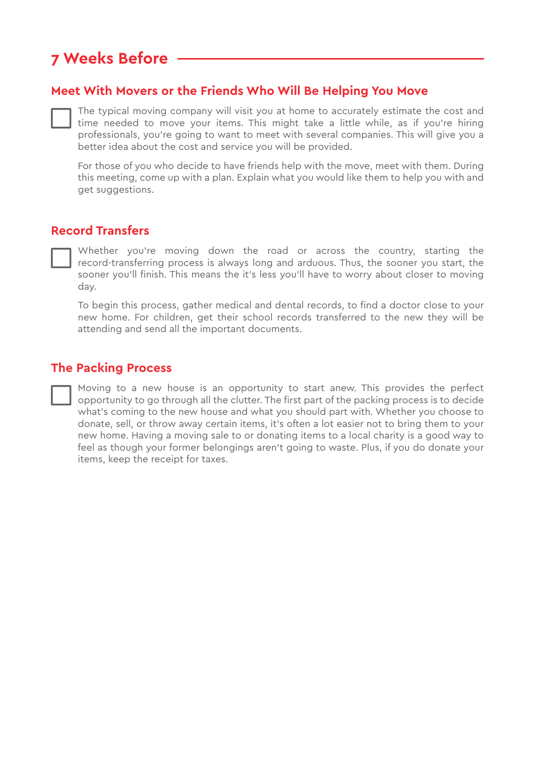## **7 Weeks Before**

#### **Meet With Movers or the Friends Who Will Be Helping You Move**

The typical moving company will visit you at home to accurately estimate the cost and time needed to move your items. This might take a little while, as if you're hiring professionals, you're going to want to meet with several companies. This will give you a better idea about the cost and service you will be provided.

For those of you who decide to have friends help with the move, meet with them. During this meeting, come up with a plan. Explain what you would like them to help you with and get suggestions.

#### **Record Transfers**

Whether you're moving down the road or across the country, starting the record-transferring process is always long and arduous. Thus, the sooner you start, the sooner you'll finish. This means the it's less you'll have to worry about closer to moving day.

To begin this process, gather medical and dental records, to find a doctor close to your new home. For children, get their school records transferred to the new they will be attending and send all the important documents.

#### **The Packing Process**

Moving to a new house is an opportunity to start anew. This provides the perfect opportunity to go through all the clutter. The first part of the packing process is to decide what's coming to the new house and what you should part with. Whether you choose to donate, sell, or throw away certain items, it's often a lot easier not to bring them to your new home. Having a moving sale to or donating items to a local charity is a good way to feel as though your former belongings aren't going to waste. Plus, if you do donate your items, keep the receipt for taxes.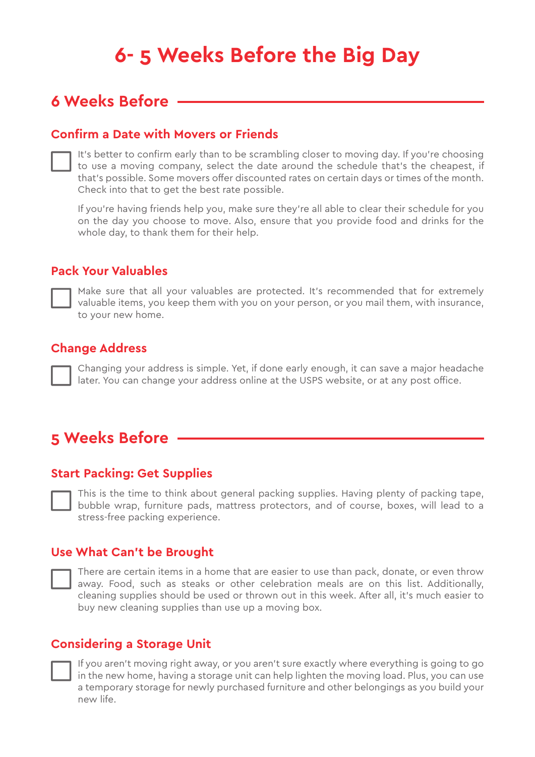## **6- 5 Weeks Before the Big Day**

## **6 Weeks Before**

#### **Confirm a Date with Movers or Friends**

| It's better to confirm early than to be scrambling closer to moving day. If you're choosing |
|---------------------------------------------------------------------------------------------|
| to use a moving company, select the date around the schedule that's the cheapest, if        |
| that's possible. Some movers offer discounted rates on certain days or times of the month.  |
| Check into that to get the best rate possible.                                              |

If you're having friends help you, make sure they're all able to clear their schedule for you on the day you choose to move. Also, ensure that you provide food and drinks for the whole day, to thank them for their help.

#### **Pack Your Valuables**

Make sure that all your valuables are protected. It's recommended that for extremely valuable items, you keep them with you on your person, or you mail them, with insurance, to your new home.

#### **Change Address**

Changing your address is simple. Yet, if done early enough, it can save a major headache later. You can change your address online at the USPS website, or at any post office.

## **5 Weeks Before**

#### **Start Packing: Get Supplies**

This is the time to think about general packing supplies. Having plenty of packing tape, bubble wrap, furniture pads, mattress protectors, and of course, boxes, will lead to a stress-free packing experience.

#### **Use What Can't be Brought**

There are certain items in a home that are easier to use than pack, donate, or even throw away. Food, such as steaks or other celebration meals are on this list. Additionally, cleaning supplies should be used or thrown out in this week. After all, it's much easier to buy new cleaning supplies than use up a moving box.

#### **Considering a Storage Unit**

If you aren't moving right away, or you aren't sure exactly where everything is going to go in the new home, having a storage unit can help lighten the moving load. Plus, you can use a temporary storage for newly purchased furniture and other belongings as you build your new life.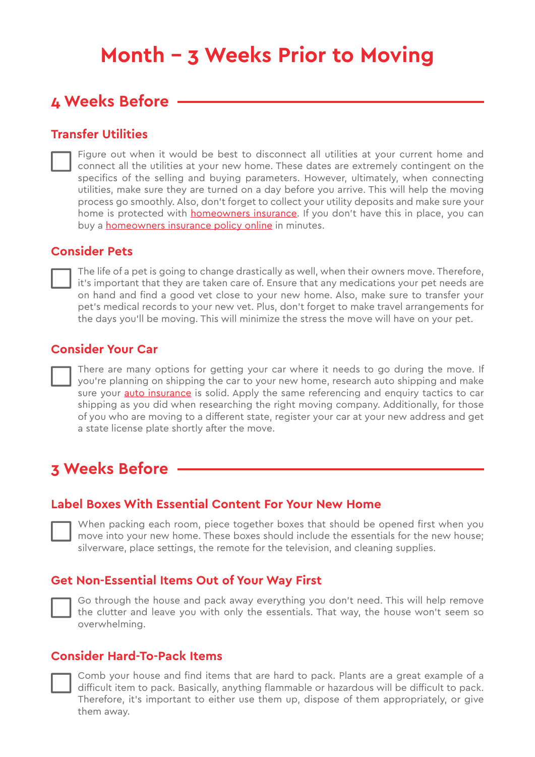## **Month – 3 Weeks Prior to Moving**

### **4 Weeks Before**

#### **Transfer Utilities**

Figure out when it would be best to disconnect all utilities at your current home and connect all the utilities at your new home. These dates are extremely contingent on the specifics of the selling and buying parameters. However, ultimately, when connecting utilities, make sure they are turned on a day before you arrive. This will help the moving process go smoothly. Also, don't forget to collect your utility deposits and make sure your home is protected with **homeowners insurance**. If you don't have this in place, you can buy a [homeowners insurance policy online](https://buy.mercuryinsurance.com/auto/html/mercury.html#/create?state=CA&src=agentlink&agentcode=044437) in minutes.

#### **Consider Pets**

The life of a pet is going to change drastically as well, when their owners move. Therefore, it's important that they are taken care of. Ensure that any medications your pet needs are on hand and find a good vet close to your new home. Also, make sure to transfer your pet's medical records to your new vet. Plus, don't forget to make travel arrangements for the days you'll be moving. This will minimize the stress the move will have on your pet.

#### **Consider Your Car**

There are many options for getting your car where it needs to go during the move. If you're planning on shipping the car to your new home, research auto shipping and make sure your [auto insurance](https://www.peninsulageneral.com/insurance-options/auto-insurance/) is solid. Apply the same referencing and enquiry tactics to car shipping as you did when researching the right moving company. Additionally, for those of you who are moving to a different state, register your car at your new address and get a state license plate shortly after the move.

## **3 Weeks Before**

#### **Label Boxes With Essential Content For Your New Home**

When packing each room, piece together boxes that should be opened first when you move into your new home. These boxes should include the essentials for the new house; silverware, place settings, the remote for the television, and cleaning supplies.

#### **Get Non-Essential Items Out of Your Way First**



Go through the house and pack away everything you don't need. This will help remove the clutter and leave you with only the essentials. That way, the house won't seem so overwhelming.

#### **Consider Hard-To-Pack Items**

Comb your house and find items that are hard to pack. Plants are a great example of a difficult item to pack. Basically, anything flammable or hazardous will be difficult to pack. Therefore, it's important to either use them up, dispose of them appropriately, or give them away.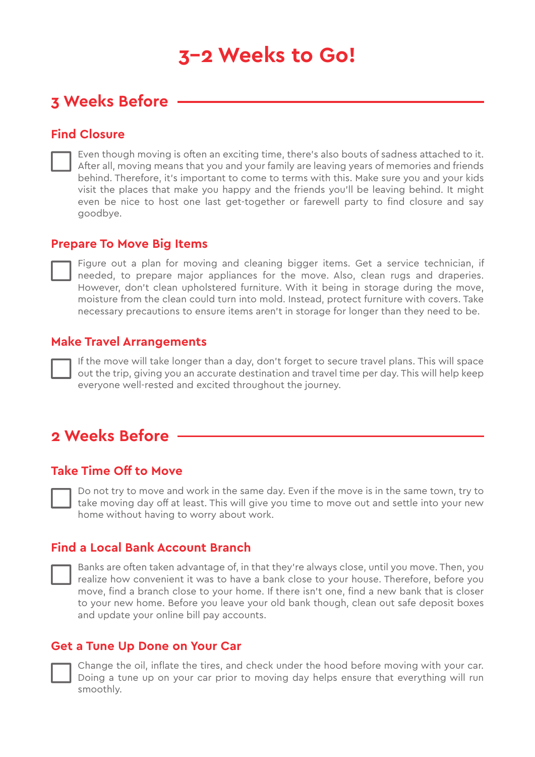## **3–2 Weeks to Go!**

### **3 Weeks Before**

#### **Find Closure**

Even though moving is often an exciting time, there's also bouts of sadness attached to it. After all, moving means that you and your family are leaving years of memories and friends behind. Therefore, it's important to come to terms with this. Make sure you and your kids visit the places that make you happy and the friends you'll be leaving behind. It might even be nice to host one last get-together or farewell party to find closure and say goodbye.

#### **Prepare To Move Big Items**

Figure out a plan for moving and cleaning bigger items. Get a service technician, if needed, to prepare major appliances for the move. Also, clean rugs and draperies. However, don't clean upholstered furniture. With it being in storage during the move, moisture from the clean could turn into mold. Instead, protect furniture with covers. Take necessary precautions to ensure items aren't in storage for longer than they need to be.

#### **Make Travel Arrangements**

If the move will take longer than a day, don't forget to secure travel plans. This will space out the trip, giving you an accurate destination and travel time per day. This will help keep everyone well-rested and excited throughout the journey.

### **2 Weeks Before**

#### **Take Time Off to Move**

Do not try to move and work in the same day. Even if the move is in the same town, try to take moving day off at least. This will give you time to move out and settle into your new home without having to worry about work.

#### **Find a Local Bank Account Branch**

Banks are often taken advantage of, in that they're always close, until you move. Then, you realize how convenient it was to have a bank close to your house. Therefore, before you move, find a branch close to your home. If there isn't one, find a new bank that is closer to your new home. Before you leave your old bank though, clean out safe deposit boxes and update your online bill pay accounts.

#### **Get a Tune Up Done on Your Car**



Change the oil, inflate the tires, and check under the hood before moving with your car. Doing a tune up on your car prior to moving day helps ensure that everything will run smoothly.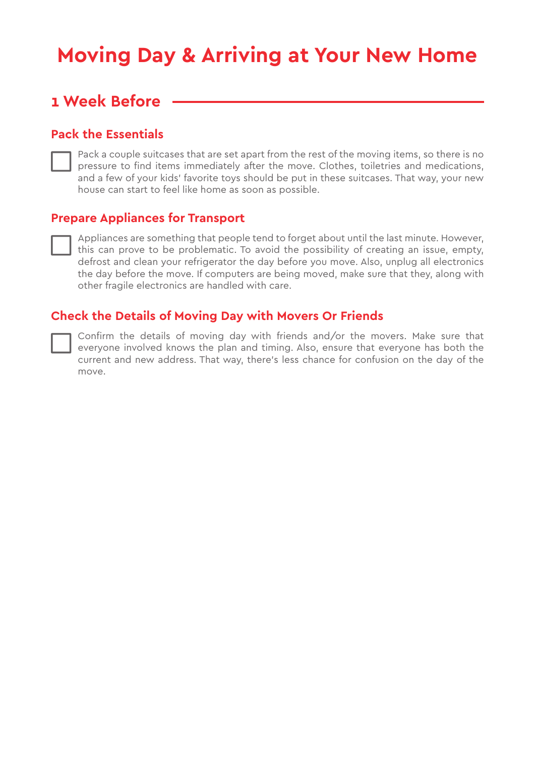## **Moving Day & Arriving at Your New Home**

### **1 Week Before**

#### **Pack the Essentials**

Pack a couple suitcases that are set apart from the rest of the moving items, so there is no pressure to find items immediately after the move. Clothes, toiletries and medications, and a few of your kids' favorite toys should be put in these suitcases. That way, your new house can start to feel like home as soon as possible.

#### **Prepare Appliances for Transport**

Appliances are something that people tend to forget about until the last minute. However, this can prove to be problematic. To avoid the possibility of creating an issue, empty, defrost and clean your refrigerator the day before you move. Also, unplug all electronics the day before the move. If computers are being moved, make sure that they, along with other fragile electronics are handled with care.

#### **Check the Details of Moving Day with Movers Or Friends**

Confirm the details of moving day with friends and/or the movers. Make sure that everyone involved knows the plan and timing. Also, ensure that everyone has both the current and new address. That way, there's less chance for confusion on the day of the move.